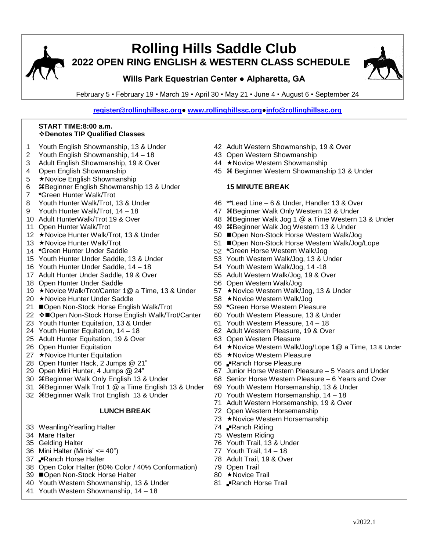

# **Rolling Hills Saddle Club 2022 OPEN RING ENGLISH & WESTERN CLASS SCHEDULE**

## **Wills Park Equestrian Center ● Alpharetta, GA**

February 5 ▪ February 19 ▪ March 19 ▪ April 30 ▪ May 21 ▪ June 4 ▪ August 6 ▪ September 24

**[register@rollinghillssc.org●](mailto:register@rollinghillssc.org) [www.rollinghillssc.org●](http://www.rollinghillssc.org/)[info@rollinghillssc.org](mailto:info@rollinghillssc.org)**

### **START TIME:8:00 a.m. Denotes TIP Qualified Classes**

- 1 Youth English Showmanship, 13 & Under 42 Adult Western Showmanship, 19 & Over
- 2 Youth English Showmanship, 14 18 43 Open Western Showmanship
- 3 Adult English Showmanship, 19 & Over 44 \*Novice Western Showmanship
- 
- 5 ★ Novice English Showmanship
- 6 Beginner English Showmanship 13 & Under **15 MINUTE BREAK**
- 7 **\***Green Hunter Walk/Trot
- 
- 
- 
- 
- 
- 
- 
- 15 Youth Hunter Under Saddle, 13 & Under 53 Youth Western Walk/Jog, 13 & Under
- 16 Youth Hunter Under Saddle, 14 18 54 Youth Western Walk/Jog, 14 -18
- 17 Adult Hunter Under Saddle, 19 & Over 55 Adult Western Walk/Jog, 19 & Over
- 18 Open Hunter Under Saddle 56 Open Western Walk/Jog
- 19 ★Novice Walk/Trot/Canter 1@ a Time, 13 & Under 57 ★Novice Western Walk/Jog, 13 & Under
- 20 ★Novice Hunter Under Saddle 58 ★Novice Western Walk/Jog
- 21 **■Open Non-Stock Horse English Walk/Trot** 59 <sup>\*</sup>Green Horse Western Pleasure
- 22 �■Open Non-Stock Horse English Walk/Trot/Canter 60 Youth Western Pleasure, 13 & Under
- 23 Youth Hunter Equitation, 13 & Under 61 Youth Western Pleasure, 14 18
- 
- 25 Adult Hunter Equitation, 19 & Over 63 Open Western Pleasure
- 
- 27 ★Novice Hunter Equitation 65 ★Novice Western Pleasure
- 28 Open Hunter Hack, 2 Jumps @ 21" 66 Ranch Horse Pleasure
- 
- 
- 31 Beginner Walk Trot 1 @ a Time English 13 & Under 69 Youth Western Horsemanship, 13 & Under
- 32 Beginner Walk Trot English 13 & Under 70 Youth Western Horsemanship, 14 18

- 33 Weanling/Yearling Halter 74 PRanch Riding
- 
- 
- 36 Mini Halter (Minis' <= 40") 77 Youth Trail, 14 18
- 37 Pranch Horse Halter 78 Adult Trail, 19 & Over
- 38 Open Color Halter (60% Color / 40% Conformation) 79 Open Trail
- 39 ■Open Non-Stock Horse Halter 80 ★Novice Trail
- 40 Youth Western Showmanship, 13 & Under 81 PRanch Horse Trail
- 41 Youth Western Showmanship, 14 18
- 
- 
- 
- 4 Open English Showmanship **45 William Company 13 & Under** 45 William Assembly 13 & Under

- 8 Youth Hunter Walk/Trot, 13 & Under 46 \*\*Lead Line 6 & Under, Handler 13 & Over
- 9 Youth Hunter Walk/Trot, 14 18 47 #Beginner Walk Only Western 13 & Under
- 10 Adult HunterWalk/Trot 19 & Over 48 #Beginner Walk Jog 1 @ a Time Western 13 & Under
- 11 Open Hunter Walk/Trot 49 Beginner Walk Jog Western 13 & Under
- 12 ★Novice Hunter Walk/Trot, 13 & Under 50 Open Non-Stock Horse Western Walk/Jog
- 13 ★Novice Hunter Walk/Trot 10 000 000 51 Deen Non-Stock Horse Western Walk/Jog/Lope
- 14 **\***Green Hunter Under Saddle 52 **\***Green Horse Western Walk/Jog
	-
	-
	-
	-
	-
	-
	-
	-
	-
- 24 Youth Hunter Equitation, 14 18 62 Adult Western Pleasure, 19 & Over
	-
- 26 Open Hunter Equitation 13 a Control 12 a Time, 13 & Under 12 a Time, 13 & Under
	-
	-
- 29 Open Mini Hunter, 4 Jumps @ 24" 67 Junior Horse Western Pleasure 5 Years and Under
- 30 \\ \$Beginner Walk Only English 13 & Under 68 Senior Horse Western Pleasure 6 Years and Over
	-
	-
	- 71 Adult Western Horsemanship, 19 & Over
	- **LUNCH BREAK** 72 Open Western Horsemanship
		- 73 ★ Novice Western Horsemanship
		-
- 34 Mare Halter 75 Western Riding
- 35 Gelding Halter 76 Youth Trail, 13 & Under
	-
	-
	-
	-
	-